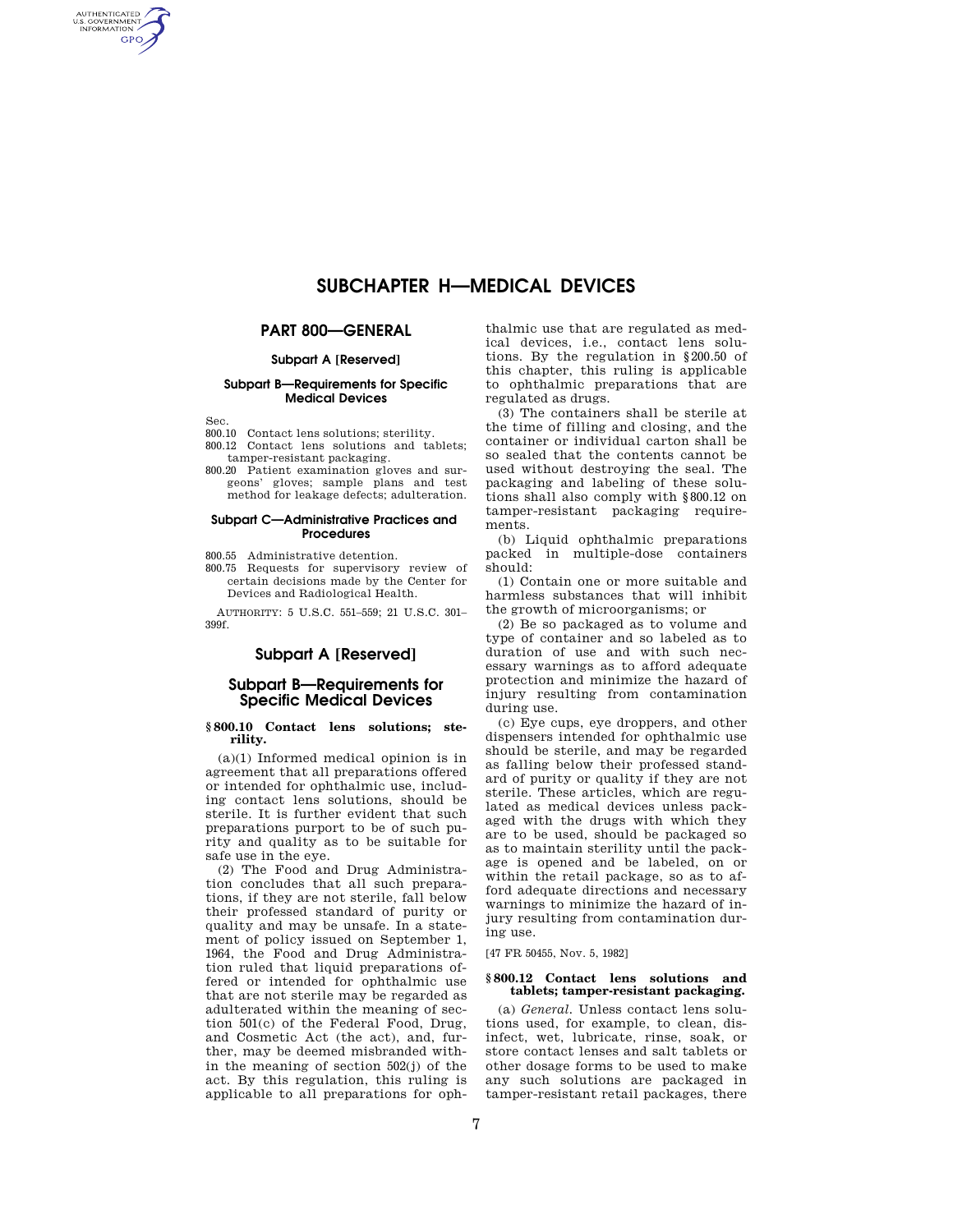# **SUBCHAPTER H—MEDICAL DEVICES**

# **PART 800—GENERAL**

## **Subpart A [Reserved]**

## **Subpart B—Requirements for Specific Medical Devices**

Sec.

AUTHENTICATED<br>U.S. GOVERNMENT<br>INFORMATION **GPO** 

800.10 Contact lens solutions; sterility.

- 800.12 Contact lens solutions and tablets; tamper-resistant packaging.
- 800.20 Patient examination gloves and surgeons' gloves; sample plans and test method for leakage defects; adulteration.

## **Subpart C—Administrative Practices and Procedures**

800.55 Administrative detention.

800.75 Requests for supervisory review of certain decisions made by the Center for Devices and Radiological Health.

AUTHORITY: 5 U.S.C. 551–559; 21 U.S.C. 301– 399f.

## **Subpart A [Reserved]**

# **Subpart B—Requirements for Specific Medical Devices**

### **§ 800.10 Contact lens solutions; sterility.**

(a)(1) Informed medical opinion is in agreement that all preparations offered or intended for ophthalmic use, including contact lens solutions, should be sterile. It is further evident that such preparations purport to be of such purity and quality as to be suitable for safe use in the eye.

(2) The Food and Drug Administration concludes that all such preparations, if they are not sterile, fall below their professed standard of purity or quality and may be unsafe. In a statement of policy issued on September 1, 1964, the Food and Drug Administration ruled that liquid preparations offered or intended for ophthalmic use that are not sterile may be regarded as adulterated within the meaning of section 501(c) of the Federal Food, Drug, and Cosmetic Act (the act), and, further, may be deemed misbranded within the meaning of section 502(j) of the act. By this regulation, this ruling is applicable to all preparations for ophthalmic use that are regulated as medical devices, i.e., contact lens solutions. By the regulation in §200.50 of this chapter, this ruling is applicable to ophthalmic preparations that are regulated as drugs.

(3) The containers shall be sterile at the time of filling and closing, and the container or individual carton shall be so sealed that the contents cannot be used without destroying the seal. The packaging and labeling of these solutions shall also comply with §800.12 on tamper-resistant packaging requirements.

(b) Liquid ophthalmic preparations packed in multiple-dose containers should:

(1) Contain one or more suitable and harmless substances that will inhibit the growth of microorganisms; or

(2) Be so packaged as to volume and type of container and so labeled as to duration of use and with such necessary warnings as to afford adequate protection and minimize the hazard of injury resulting from contamination during use.

(c) Eye cups, eye droppers, and other dispensers intended for ophthalmic use should be sterile, and may be regarded as falling below their professed standard of purity or quality if they are not sterile. These articles, which are regulated as medical devices unless packaged with the drugs with which they are to be used, should be packaged so as to maintain sterility until the package is opened and be labeled, on or within the retail package, so as to afford adequate directions and necessary warnings to minimize the hazard of injury resulting from contamination during use.

[47 FR 50455, Nov. 5, 1982]

## **§ 800.12 Contact lens solutions and tablets; tamper-resistant packaging.**

(a) *General.* Unless contact lens solutions used, for example, to clean, disinfect, wet, lubricate, rinse, soak, or store contact lenses and salt tablets or other dosage forms to be used to make any such solutions are packaged in tamper-resistant retail packages, there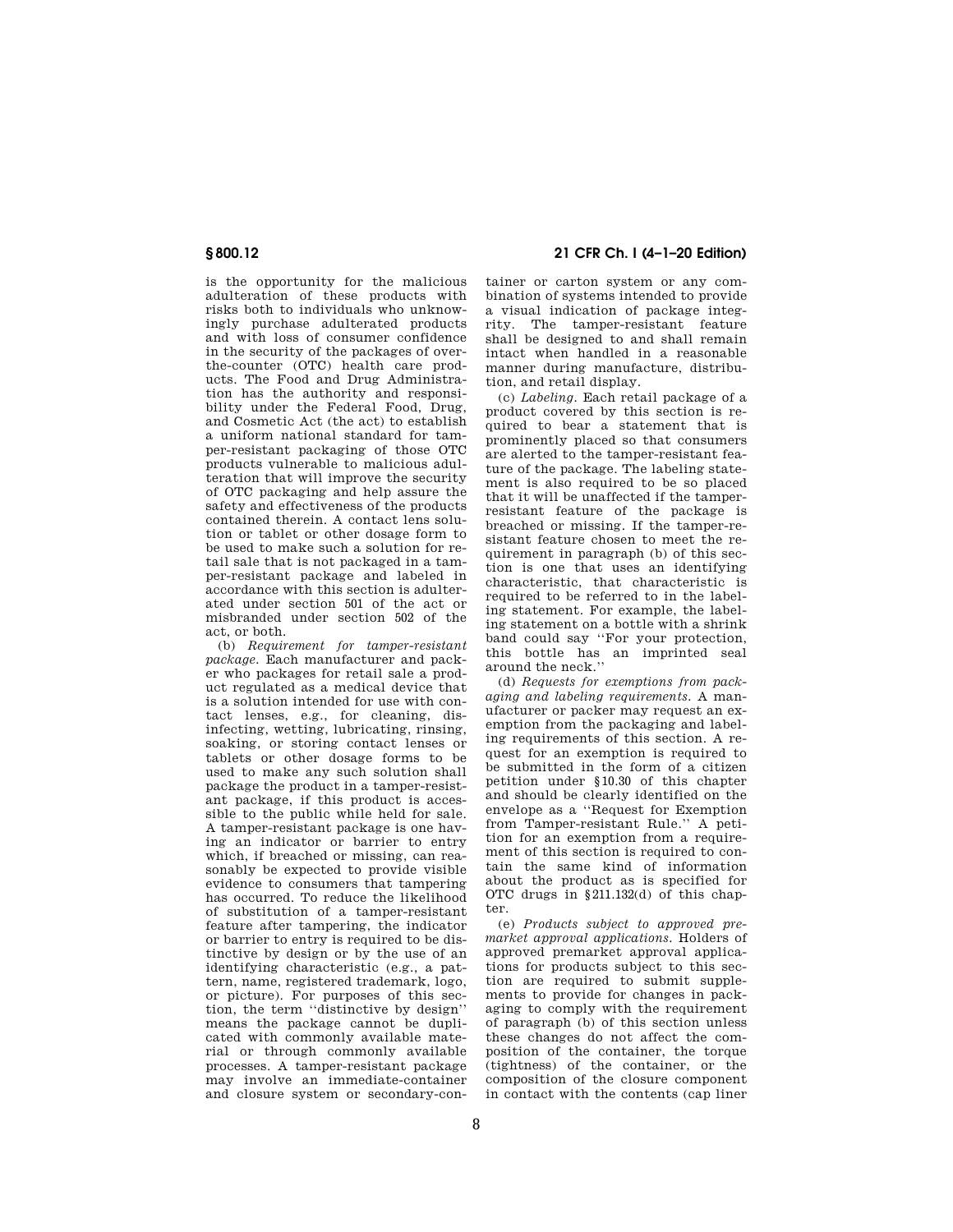is the opportunity for the malicious adulteration of these products with risks both to individuals who unknowingly purchase adulterated products and with loss of consumer confidence in the security of the packages of overthe-counter (OTC) health care products. The Food and Drug Administration has the authority and responsibility under the Federal Food, Drug, and Cosmetic Act (the act) to establish a uniform national standard for tamper-resistant packaging of those OTC products vulnerable to malicious adulteration that will improve the security of OTC packaging and help assure the safety and effectiveness of the products contained therein. A contact lens solution or tablet or other dosage form to be used to make such a solution for retail sale that is not packaged in a tamper-resistant package and labeled in accordance with this section is adulterated under section 501 of the act or misbranded under section 502 of the act, or both.

(b) *Requirement for tamper-resistant package.* Each manufacturer and packer who packages for retail sale a product regulated as a medical device that is a solution intended for use with contact lenses, e.g., for cleaning, disinfecting, wetting, lubricating, rinsing, soaking, or storing contact lenses or tablets or other dosage forms to be used to make any such solution shall package the product in a tamper-resistant package, if this product is accessible to the public while held for sale. A tamper-resistant package is one having an indicator or barrier to entry which, if breached or missing, can reasonably be expected to provide visible evidence to consumers that tampering has occurred. To reduce the likelihood of substitution of a tamper-resistant feature after tampering, the indicator or barrier to entry is required to be distinctive by design or by the use of an identifying characteristic (e.g., a pattern, name, registered trademark, logo, or picture). For purposes of this section, the term ''distinctive by design'' means the package cannot be duplicated with commonly available material or through commonly available processes. A tamper-resistant package may involve an immediate-container and closure system or secondary-con-

# **§ 800.12 21 CFR Ch. I (4–1–20 Edition)**

tainer or carton system or any combination of systems intended to provide a visual indication of package integrity. The tamper-resistant feature shall be designed to and shall remain intact when handled in a reasonable manner during manufacture, distribution, and retail display.

(c) *Labeling.* Each retail package of a product covered by this section is required to bear a statement that is prominently placed so that consumers are alerted to the tamper-resistant feature of the package. The labeling statement is also required to be so placed that it will be unaffected if the tamperresistant feature of the package is breached or missing. If the tamper-resistant feature chosen to meet the requirement in paragraph (b) of this section is one that uses an identifying characteristic, that characteristic is required to be referred to in the labeling statement. For example, the labeling statement on a bottle with a shrink band could say ''For your protection, this bottle has an imprinted seal around the neck.''

(d) *Requests for exemptions from packaging and labeling requirements.* A manufacturer or packer may request an exemption from the packaging and labeling requirements of this section. A request for an exemption is required to be submitted in the form of a citizen petition under §10.30 of this chapter and should be clearly identified on the envelope as a ''Request for Exemption from Tamper-resistant Rule.'' A petition for an exemption from a requirement of this section is required to contain the same kind of information about the product as is specified for OTC drugs in §211.132(d) of this chapter.

(e) *Products subject to approved premarket approval applications.* Holders of approved premarket approval applications for products subject to this section are required to submit supplements to provide for changes in packaging to comply with the requirement of paragraph (b) of this section unless these changes do not affect the composition of the container, the torque (tightness) of the container, or the composition of the closure component in contact with the contents (cap liner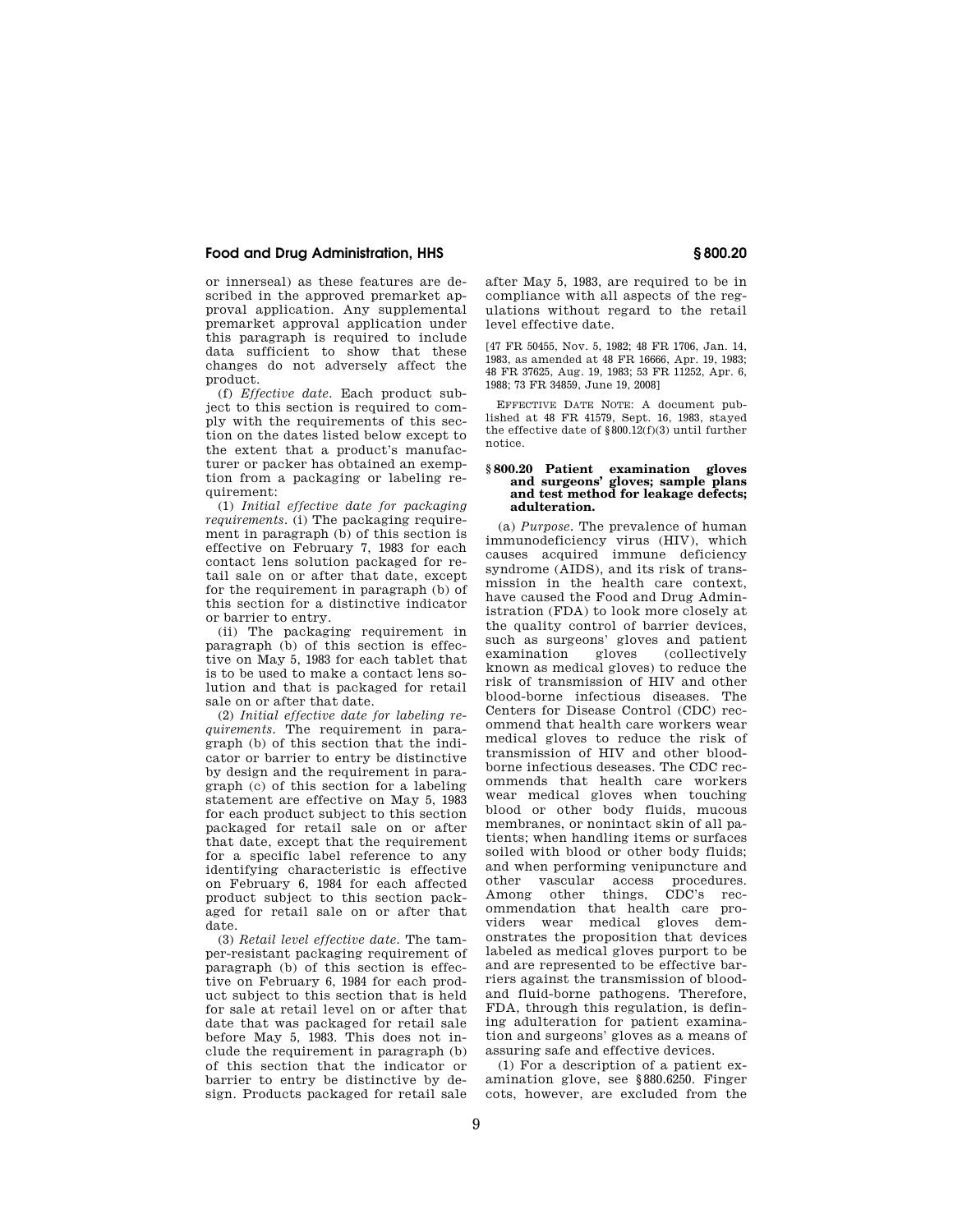or innerseal) as these features are described in the approved premarket approval application. Any supplemental premarket approval application under this paragraph is required to include data sufficient to show that these changes do not adversely affect the product.

(f) *Effective date.* Each product subject to this section is required to comply with the requirements of this section on the dates listed below except to the extent that a product's manufacturer or packer has obtained an exemption from a packaging or labeling requirement:

(1) *Initial effective date for packaging requirements.* (i) The packaging requirement in paragraph (b) of this section is effective on February 7, 1983 for each contact lens solution packaged for retail sale on or after that date, except for the requirement in paragraph (b) of this section for a distinctive indicator or barrier to entry.

(ii) The packaging requirement in paragraph (b) of this section is effective on May 5, 1983 for each tablet that is to be used to make a contact lens solution and that is packaged for retail sale on or after that date.

(2) *Initial effective date for labeling requirements.* The requirement in paragraph (b) of this section that the indicator or barrier to entry be distinctive by design and the requirement in para $graph (c)$  of this section for a labeling statement are effective on May 5, 1983 for each product subject to this section packaged for retail sale on or after that date, except that the requirement for a specific label reference to any identifying characteristic is effective on February 6, 1984 for each affected product subject to this section packaged for retail sale on or after that date.

(3) *Retail level effective date.* The tamper-resistant packaging requirement of paragraph (b) of this section is effective on February 6, 1984 for each product subject to this section that is held for sale at retail level on or after that date that was packaged for retail sale before May 5, 1983. This does not include the requirement in paragraph (b) of this section that the indicator or barrier to entry be distinctive by design. Products packaged for retail sale

after May 5, 1983, are required to be in compliance with all aspects of the regulations without regard to the retail level effective date.

[47 FR 50455, Nov. 5, 1982; 48 FR 1706, Jan. 14, 1983, as amended at 48 FR 16666, Apr. 19, 1983; 48 FR 37625, Aug. 19, 1983; 53 FR 11252, Apr. 6, 1988; 73 FR 34859, June 19, 2008]

EFFECTIVE DATE NOTE: A document published at 48 FR 41579, Sept. 16, 1983, stayed the effective date of §800.12(f)(3) until further notice.

### **§ 800.20 Patient examination gloves and surgeons' gloves; sample plans and test method for leakage defects; adulteration.**

(a) *Purpose.* The prevalence of human immunodeficiency virus (HIV), which causes acquired immune deficiency syndrome (AIDS), and its risk of transmission in the health care context, have caused the Food and Drug Administration (FDA) to look more closely at the quality control of barrier devices, such as surgeons' gloves and patient examination gloves (collectively known as medical gloves) to reduce the risk of transmission of HIV and other blood-borne infectious diseases. The Centers for Disease Control (CDC) recommend that health care workers wear medical gloves to reduce the risk of transmission of HIV and other bloodborne infectious deseases. The CDC recommends that health care workers wear medical gloves when touching blood or other body fluids, mucous membranes, or nonintact skin of all patients; when handling items or surfaces soiled with blood or other body fluids; and when performing venipuncture and other vascular access procedures. Among other things, CDC's recommendation that health care providers wear medical gloves demonstrates the proposition that devices labeled as medical gloves purport to be and are represented to be effective barriers against the transmission of bloodand fluid-borne pathogens. Therefore, FDA, through this regulation, is defining adulteration for patient examination and surgeons' gloves as a means of assuring safe and effective devices.

(1) For a description of a patient examination glove, see §880.6250. Finger cots, however, are excluded from the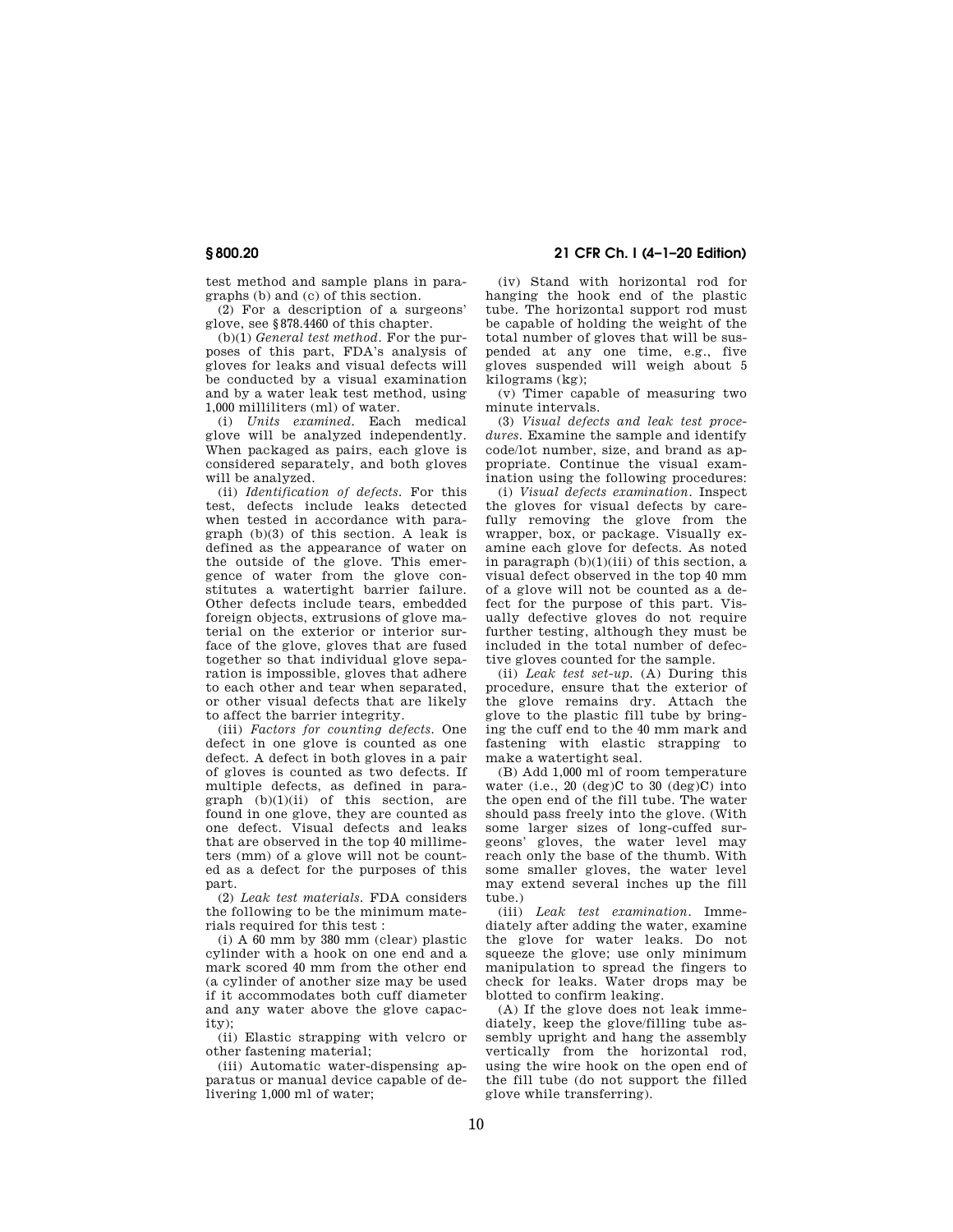test method and sample plans in paragraphs (b) and (c) of this section.

(2) For a description of a surgeons' glove, see §878.4460 of this chapter.

(b)(1) *General test method.* For the purposes of this part, FDA's analysis of gloves for leaks and visual defects will be conducted by a visual examination and by a water leak test method, using 1,000 milliliters (ml) of water.

(i) *Units examined.* Each medical glove will be analyzed independently. When packaged as pairs, each glove is considered separately, and both gloves will be analyzed.

(ii) *Identification of defects.* For this test, defects include leaks detected when tested in accordance with paragraph (b)(3) of this section. A leak is defined as the appearance of water on the outside of the glove. This emergence of water from the glove constitutes a watertight barrier failure. Other defects include tears, embedded foreign objects, extrusions of glove material on the exterior or interior surface of the glove, gloves that are fused together so that individual glove separation is impossible, gloves that adhere to each other and tear when separated, or other visual defects that are likely to affect the barrier integrity.

(iii) *Factors for counting defects.* One defect in one glove is counted as one defect. A defect in both gloves in a pair of gloves is counted as two defects. If multiple defects, as defined in paragraph  $(b)(1)(ii)$  of this section, are found in one glove, they are counted as one defect. Visual defects and leaks that are observed in the top 40 millimeters (mm) of a glove will not be counted as a defect for the purposes of this part.

(2) *Leak test materials.* FDA considers the following to be the minimum materials required for this test :

(i) A 60 mm by 380 mm (clear) plastic cylinder with a hook on one end and a mark scored 40 mm from the other end (a cylinder of another size may be used if it accommodates both cuff diameter and any water above the glove capacity).

(ii) Elastic strapping with velcro or other fastening material;

(iii) Automatic water-dispensing apparatus or manual device capable of delivering 1,000 ml of water;

**§ 800.20 21 CFR Ch. I (4–1–20 Edition)** 

(iv) Stand with horizontal rod for hanging the hook end of the plastic tube. The horizontal support rod must be capable of holding the weight of the total number of gloves that will be suspended at any one time, e.g., five gloves suspended will weigh about 5 kilograms (kg);

(v) Timer capable of measuring two minute intervals.

(3) *Visual defects and leak test procedures.* Examine the sample and identify code/lot number, size, and brand as appropriate. Continue the visual exam-.<br>ination using the following procedures:

(i) *Visual defects examination.* Inspect the gloves for visual defects by carefully removing the glove from the wrapper, box, or package. Visually examine each glove for defects. As noted in paragraph  $(b)(1)(iii)$  of this section, a visual defect observed in the top 40 mm of a glove will not be counted as a defect for the purpose of this part. Visually defective gloves do not require further testing, although they must be included in the total number of defective gloves counted for the sample.

(ii) *Leak test set-up.* (A) During this procedure, ensure that the exterior of the glove remains dry. Attach the glove to the plastic fill tube by bringing the cuff end to the 40 mm mark and fastening with elastic strapping to make a watertight seal.

(B) Add 1,000 ml of room temperature water (i.e., 20 (deg)C to 30 (deg)C) into the open end of the fill tube. The water should pass freely into the glove. (With some larger sizes of long-cuffed surgeons' gloves, the water level may reach only the base of the thumb. With some smaller gloves, the water level may extend several inches up the fill tube.)

(iii) *Leak test examination.* Immediately after adding the water, examine the glove for water leaks. Do not squeeze the glove; use only minimum manipulation to spread the fingers to check for leaks. Water drops may be blotted to confirm leaking.

(A) If the glove does not leak immediately, keep the glove/filling tube assembly upright and hang the assembly vertically from the horizontal rod, using the wire hook on the open end of the fill tube (do not support the filled glove while transferring).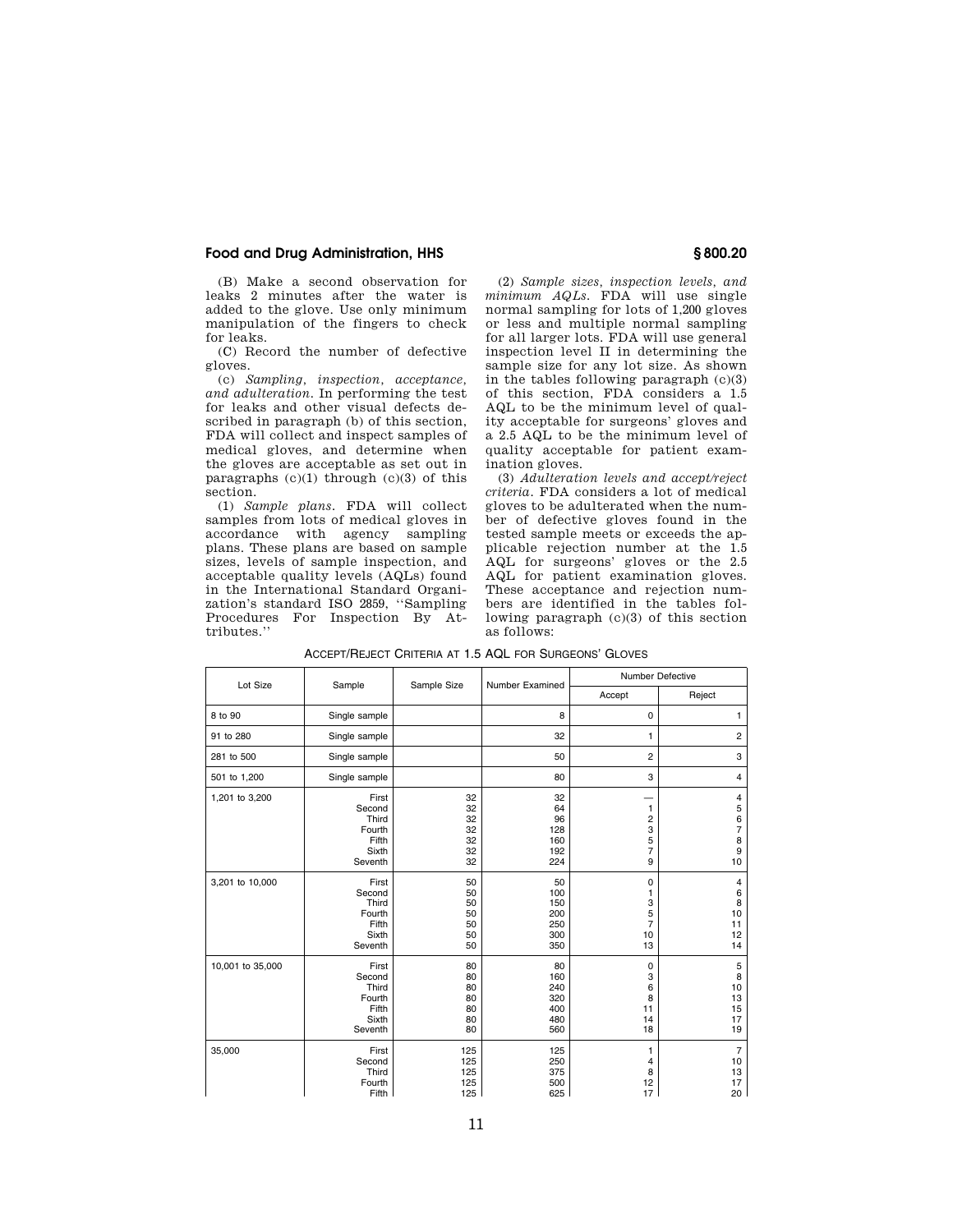(B) Make a second observation for leaks 2 minutes after the water is added to the glove. Use only minimum manipulation of the fingers to check for leaks.

(C) Record the number of defective gloves.

(c) *Sampling, inspection, acceptance, and adulteration.* In performing the test for leaks and other visual defects described in paragraph (b) of this section, FDA will collect and inspect samples of medical gloves, and determine when the gloves are acceptable as set out in paragraphs  $(c)(1)$  through  $(c)(3)$  of this section.

(1) *Sample plans.* FDA will collect samples from lots of medical gloves in accordance with agency sampling plans. These plans are based on sample sizes, levels of sample inspection, and acceptable quality levels (AQLs) found in the International Standard Organization's standard ISO 2859, ''Sampling Procedures For Inspection By Attributes.''

(2) *Sample sizes, inspection levels, and minimum AQLs.* FDA will use single normal sampling for lots of 1,200 gloves or less and multiple normal sampling for all larger lots. FDA will use general inspection level II in determining the sample size for any lot size. As shown in the tables following paragraph (c)(3) of this section, FDA considers a 1.5 AQL to be the minimum level of quality acceptable for surgeons' gloves and a 2.5 AQL to be the minimum level of quality acceptable for patient examination gloves.

(3) *Adulteration levels and accept/reject criteria.* FDA considers a lot of medical gloves to be adulterated when the number of defective gloves found in the tested sample meets or exceeds the applicable rejection number at the 1.5 AQL for surgeons' gloves or the 2.5 AQL for patient examination gloves. These acceptance and rejection numbers are identified in the tables following paragraph (c)(3) of this section as follows:

| Lot Size         | Sample                                                          |                                        | Number Examined                              | <b>Number Defective</b>                                       |                                                                    |
|------------------|-----------------------------------------------------------------|----------------------------------------|----------------------------------------------|---------------------------------------------------------------|--------------------------------------------------------------------|
|                  |                                                                 | Sample Size                            |                                              | Accept                                                        | Reject                                                             |
| 8 to 90          | Single sample                                                   |                                        | 8                                            | 0                                                             | 1                                                                  |
| 91 to 280        | Single sample                                                   |                                        | 32                                           | 1                                                             | $\overline{2}$                                                     |
| 281 to 500       | Single sample                                                   |                                        | 50                                           | $\overline{c}$                                                | 3                                                                  |
| 501 to 1,200     | Single sample                                                   |                                        | 80                                           | 3                                                             | 4                                                                  |
| 1,201 to 3,200   | First<br>Second<br>Third<br>Fourth<br>Fifth<br>Sixth<br>Seventh | 32<br>32<br>32<br>32<br>32<br>32<br>32 | 32<br>64<br>96<br>128<br>160<br>192<br>224   | 1<br>$\overline{\mathbf{c}}$<br>3<br>5<br>$\overline{7}$<br>9 | 4<br>5<br>6<br>7<br>8<br>9<br>10                                   |
| 3,201 to 10,000  | First<br>Second<br>Third<br>Fourth<br>Fifth<br>Sixth<br>Seventh | 50<br>50<br>50<br>50<br>50<br>50<br>50 | 50<br>100<br>150<br>200<br>250<br>300<br>350 | 0<br>1<br>3<br>5<br>$\overline{7}$<br>10<br>13                | 4<br>$\begin{array}{c} 6 \\ 8 \end{array}$<br>10<br>11<br>12<br>14 |
| 10,001 to 35,000 | First<br>Second<br>Third<br>Fourth<br>Fifth<br>Sixth<br>Seventh | 80<br>80<br>80<br>80<br>80<br>80<br>80 | 80<br>160<br>240<br>320<br>400<br>480<br>560 | 0<br>3<br>6<br>8<br>11<br>14<br>18                            | 5<br>8<br>10<br>13<br>15<br>17<br>19                               |
| 35,000           | First<br>Second<br>Third<br>Fourth<br>Fifth                     | 125<br>125<br>125<br>125<br>125        | 125<br>250<br>375<br>500<br>625              | $\mathbf{1}$<br>4<br>8<br>12<br>17                            | $\overline{7}$<br>10<br>13<br>17<br>20                             |

ACCEPT/REJECT CRITERIA AT 1.5 AQL FOR SURGEONS' GLOVES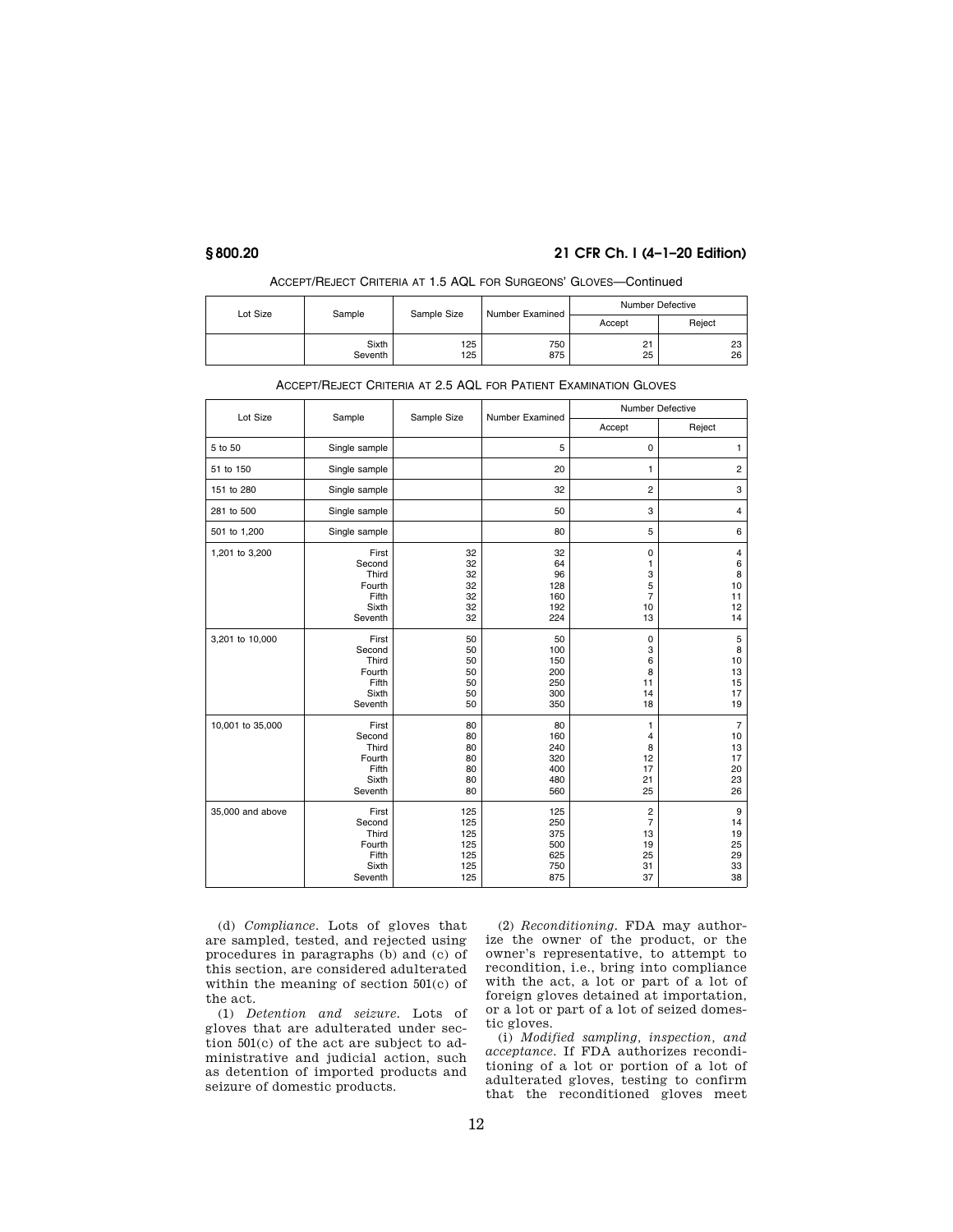# **§ 800.20 21 CFR Ch. I (4–1–20 Edition)**

| Lot Size | Sample           | Sample Size | Number Examined | <b>Number Defective</b> |          |
|----------|------------------|-------------|-----------------|-------------------------|----------|
|          |                  |             |                 | Accept                  | Reject   |
|          | Sixth<br>Seventh | 125<br>125  | 750<br>875      | 21<br>25                | 23<br>26 |

# ACCEPT/REJECT CRITERIA AT 1.5 AQL FOR SURGEONS' GLOVES—Continued

| ACCEPT/REJECT CRITERIA AT 2.5 AQL FOR PATIENT EXAMINATION GLOVES |
|------------------------------------------------------------------|
|                                                                  |

| Lot Size         | Sample                                                          | Sample Size                                   | Number Examined                               | Number Defective                               |                                                        |
|------------------|-----------------------------------------------------------------|-----------------------------------------------|-----------------------------------------------|------------------------------------------------|--------------------------------------------------------|
|                  |                                                                 |                                               |                                               | Accept                                         | Reject                                                 |
| 5 to 50          | Single sample                                                   |                                               | 5                                             | 0                                              | 1                                                      |
| 51 to 150        | Single sample                                                   |                                               | 20                                            | 1                                              | $\sqrt{2}$                                             |
| 151 to 280       | Single sample                                                   |                                               | 32                                            | $\overline{c}$                                 | 3                                                      |
| 281 to 500       | Single sample                                                   |                                               | 50                                            | 3                                              | $\overline{4}$                                         |
| 501 to 1,200     | Single sample                                                   |                                               | 80                                            | 5                                              | 6                                                      |
| 1,201 to 3,200   | First<br>Second<br>Third<br>Fourth<br>Fifth<br>Sixth<br>Seventh | 32<br>32<br>32<br>32<br>32<br>32<br>32        | 32<br>64<br>96<br>128<br>160<br>192<br>224    | 0<br>1<br>3<br>5<br>7<br>10<br>13              | $\overline{4}$<br>$\,6\,$<br>8<br>10<br>11<br>12<br>14 |
| 3,201 to 10,000  | First<br>Second<br>Third<br>Fourth<br>Fifth<br>Sixth<br>Seventh | 50<br>50<br>50<br>50<br>50<br>50<br>50        | 50<br>100<br>150<br>200<br>250<br>300<br>350  | 0<br>3<br>6<br>8<br>11<br>14<br>18             | 5<br>8<br>10<br>13<br>15<br>17<br>19                   |
| 10,001 to 35,000 | First<br>Second<br>Third<br>Fourth<br>Fifth<br>Sixth<br>Seventh | 80<br>80<br>80<br>80<br>80<br>80<br>80        | 80<br>160<br>240<br>320<br>400<br>480<br>560  | 1<br>4<br>8<br>12<br>17<br>21<br>25            | $\overline{7}$<br>10<br>13<br>17<br>20<br>23<br>26     |
| 35,000 and above | First<br>Second<br>Third<br>Fourth<br>Fifth<br>Sixth<br>Seventh | 125<br>125<br>125<br>125<br>125<br>125<br>125 | 125<br>250<br>375<br>500<br>625<br>750<br>875 | $\mathbf 2$<br>7<br>13<br>19<br>25<br>31<br>37 | 9<br>14<br>19<br>25<br>29<br>33<br>38                  |

(d) *Compliance.* Lots of gloves that are sampled, tested, and rejected using procedures in paragraphs (b) and (c) of this section, are considered adulterated within the meaning of section 501(c) of the act.

(1) *Detention and seizure.* Lots of gloves that are adulterated under section 501(c) of the act are subject to administrative and judicial action, such as detention of imported products and seizure of domestic products.

(2) *Reconditioning.* FDA may authorize the owner of the product, or the owner's representative, to attempt to recondition, i.e., bring into compliance with the act, a lot or part of a lot of foreign gloves detained at importation, or a lot or part of a lot of seized domestic gloves.

(i) *Modified sampling, inspection, and acceptance.* If FDA authorizes reconditioning of a lot or portion of a lot of adulterated gloves, testing to confirm that the reconditioned gloves meet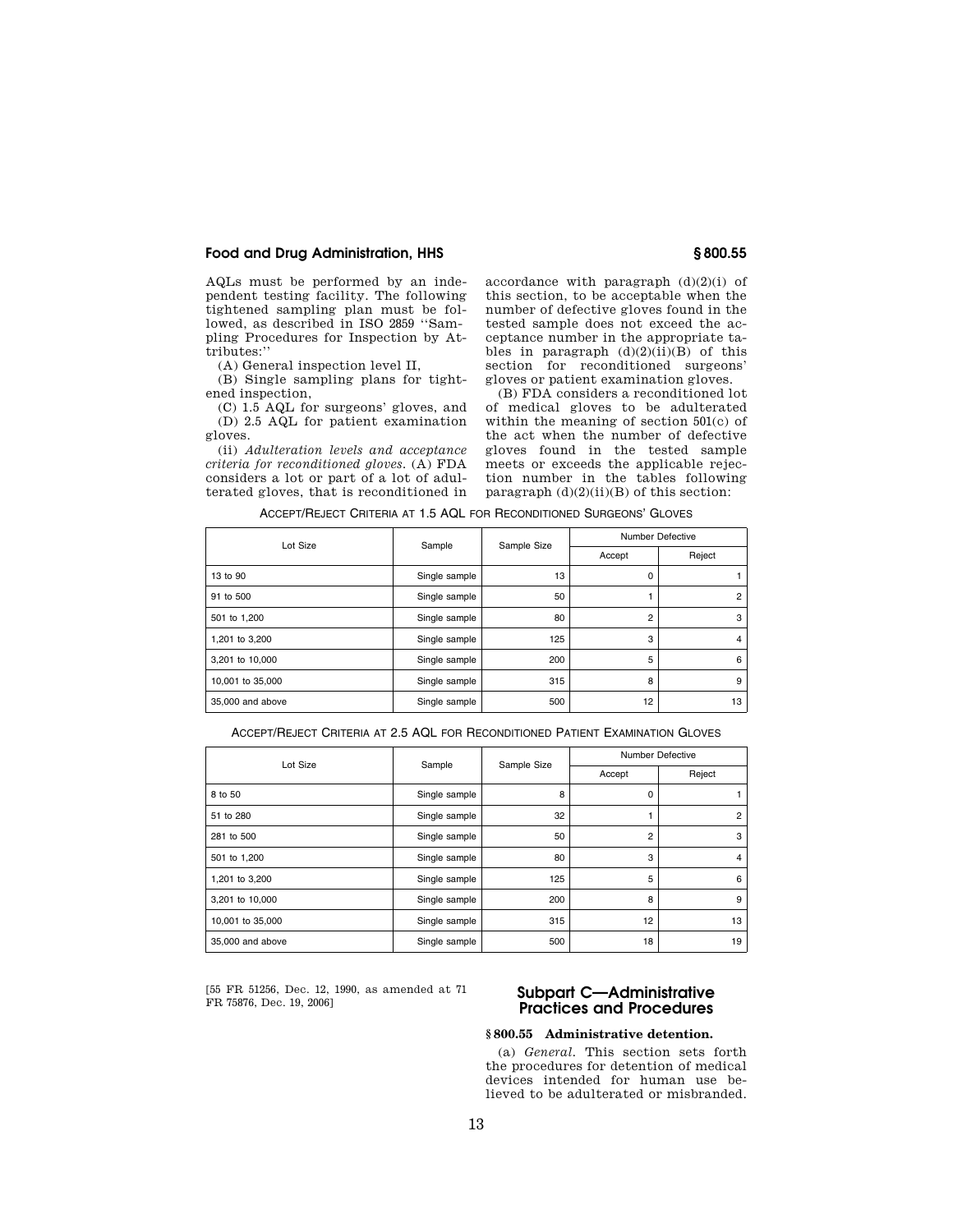AQLs must be performed by an independent testing facility. The following tightened sampling plan must be followed, as described in ISO 2859 ''Sampling Procedures for Inspection by Attributes:''

(A) General inspection level II,

(B) Single sampling plans for tightened inspection,

(C) 1.5 AQL for surgeons' gloves, and (D) 2.5 AQL for patient examination gloves.

(ii) *Adulteration levels and acceptance criteria for reconditioned gloves.* (A) FDA considers a lot or part of a lot of adulterated gloves, that is reconditioned in

accordance with paragraph  $(d)(2)(i)$  of this section, to be acceptable when the number of defective gloves found in the tested sample does not exceed the acceptance number in the appropriate tables in paragraph  $(d)(2)(ii)(B)$  of this section for reconditioned surgeons' gloves or patient examination gloves.

(B) FDA considers a reconditioned lot of medical gloves to be adulterated within the meaning of section 501(c) of the act when the number of defective gloves found in the tested sample meets or exceeds the applicable rejection number in the tables following paragraph  $(d)(2)(ii)(B)$  of this section:

ACCEPT/REJECT CRITERIA AT 1.5 AQL FOR RECONDITIONED SURGEONS' GLOVES

| Lot Size         |               | <b>Number Defective</b> |                |                |
|------------------|---------------|-------------------------|----------------|----------------|
|                  |               | Sample<br>Sample Size   | Accept         | Reject         |
| 13 to 90         | Single sample | 13                      | 0              |                |
| 91 to 500        | Single sample | 50                      |                | $\overline{2}$ |
| 501 to 1,200     | Single sample | 80                      | $\overline{2}$ | 3              |
| 1,201 to 3,200   | Single sample | 125                     | 3              | $\overline{4}$ |
| 3,201 to 10,000  | Single sample | 200                     | 5              | 6              |
| 10,001 to 35,000 | Single sample | 315                     | 8              | 9              |
| 35,000 and above | Single sample | 500                     | 12             | 13             |

ACCEPT/REJECT CRITERIA AT 2.5 AQL FOR RECONDITIONED PATIENT EXAMINATION GLOVES

| Lot Size         | Sample        | Sample Size<br>Accept |                | <b>Number Defective</b> |
|------------------|---------------|-----------------------|----------------|-------------------------|
|                  |               |                       |                | Reject                  |
| 8 to 50          | Single sample | 8                     | 0              |                         |
| 51 to 280        | Single sample | 32                    |                | $\overline{2}$          |
| 281 to 500       | Single sample | 50                    | $\overline{2}$ | 3                       |
| 501 to 1,200     | Single sample | 80                    | 3              | $\overline{4}$          |
| 1,201 to 3,200   | Single sample | 125                   | 5              | 6                       |
| 3,201 to 10,000  | Single sample | 200                   | 8              | 9                       |
| 10,001 to 35,000 | Single sample | 315                   | 12             | 13                      |
| 35,000 and above | Single sample | 500                   | 18             | 19                      |

[55 FR 51256, Dec. 12, 1990, as amended at 71

# Subpart C-Administrative **Practices and Procedures**

## **§ 800.55 Administrative detention.**

(a) *General.* This section sets forth the procedures for detention of medical devices intended for human use believed to be adulterated or misbranded.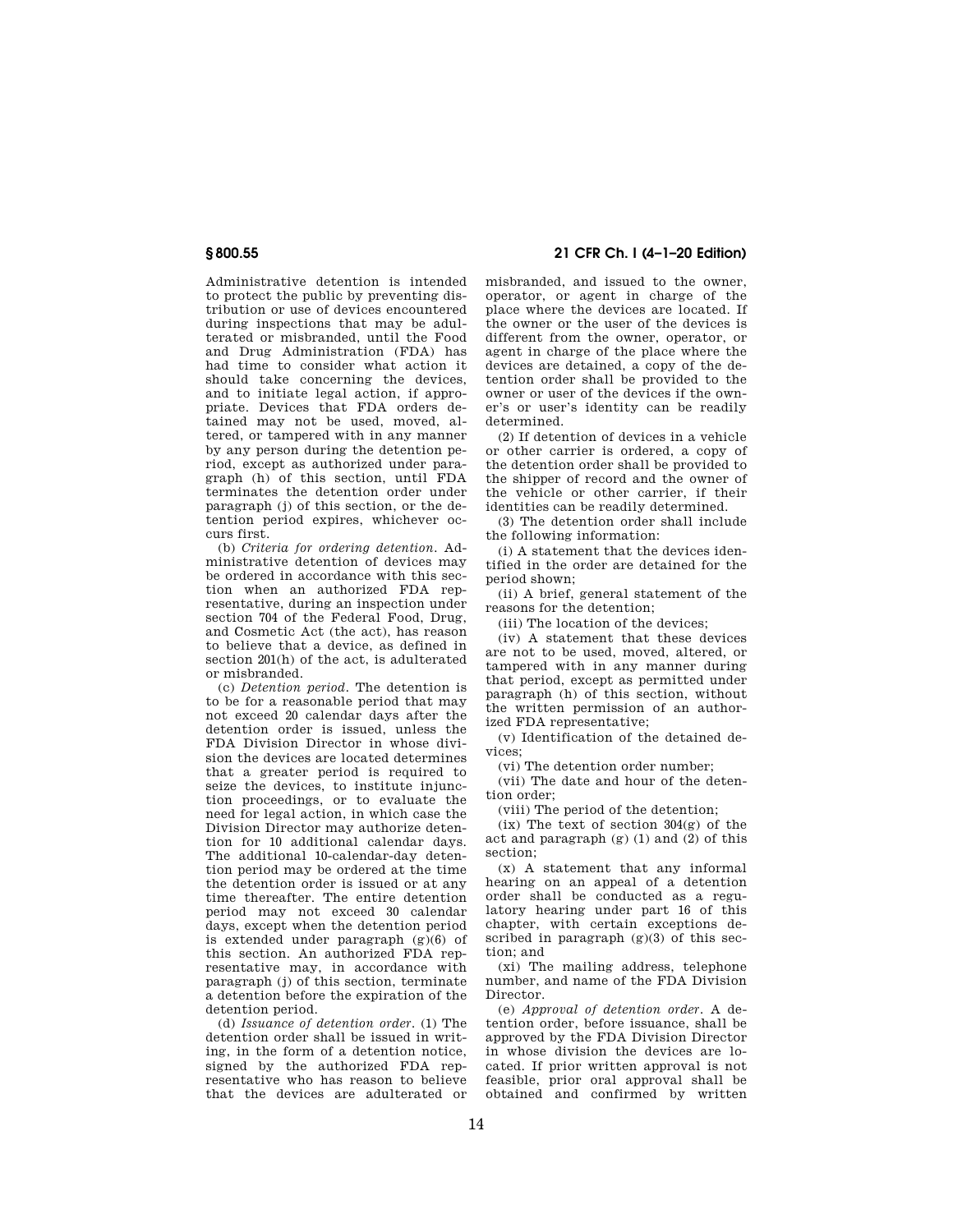Administrative detention is intended to protect the public by preventing distribution or use of devices encountered during inspections that may be adulterated or misbranded, until the Food and Drug Administration (FDA) has had time to consider what action it should take concerning the devices, and to initiate legal action, if appropriate. Devices that FDA orders detained may not be used, moved, altered, or tampered with in any manner by any person during the detention period, except as authorized under paragraph (h) of this section, until FDA terminates the detention order under paragraph (j) of this section, or the detention period expires, whichever occurs first.

(b) *Criteria for ordering detention.* Administrative detention of devices may be ordered in accordance with this section when an authorized FDA representative, during an inspection under section 704 of the Federal Food, Drug, and Cosmetic Act (the act), has reason to believe that a device, as defined in section 201(h) of the act, is adulterated or misbranded.

(c) *Detention period.* The detention is to be for a reasonable period that may not exceed 20 calendar days after the detention order is issued, unless the FDA Division Director in whose division the devices are located determines that a greater period is required to seize the devices, to institute injunction proceedings, or to evaluate the need for legal action, in which case the Division Director may authorize detention for 10 additional calendar days. The additional 10-calendar-day detention period may be ordered at the time the detention order is issued or at any time thereafter. The entire detention period may not exceed 30 calendar days, except when the detention period is extended under paragraph  $(g)(6)$  of this section. An authorized FDA representative may, in accordance with paragraph (j) of this section, terminate a detention before the expiration of the detention period.

(d) *Issuance of detention order.* (1) The detention order shall be issued in writing, in the form of a detention notice, signed by the authorized FDA representative who has reason to believe that the devices are adulterated or

**§ 800.55 21 CFR Ch. I (4–1–20 Edition)** 

misbranded, and issued to the owner, operator, or agent in charge of the place where the devices are located. If the owner or the user of the devices is different from the owner, operator, or agent in charge of the place where the devices are detained, a copy of the detention order shall be provided to the owner or user of the devices if the owner's or user's identity can be readily determined.

(2) If detention of devices in a vehicle or other carrier is ordered, a copy of the detention order shall be provided to the shipper of record and the owner of the vehicle or other carrier, if their identities can be readily determined.

(3) The detention order shall include the following information:

(i) A statement that the devices identified in the order are detained for the period shown;

(ii) A brief, general statement of the reasons for the detention;

(iii) The location of the devices;

(iv) A statement that these devices are not to be used, moved, altered, or tampered with in any manner during that period, except as permitted under paragraph (h) of this section, without the written permission of an authorized FDA representative;

(v) Identification of the detained devices;

(vi) The detention order number;

(vii) The date and hour of the detention order;

(viii) The period of the detention;

 $(ix)$  The text of section  $304(g)$  of the act and paragraph (g) (1) and (2) of this section;

(x) A statement that any informal hearing on an appeal of a detention order shall be conducted as a regulatory hearing under part 16 of this chapter, with certain exceptions described in paragraph (g)(3) of this section; and

(xi) The mailing address, telephone number, and name of the FDA Division Director.

(e) *Approval of detention order.* A detention order, before issuance, shall be approved by the FDA Division Director in whose division the devices are located. If prior written approval is not feasible, prior oral approval shall be obtained and confirmed by written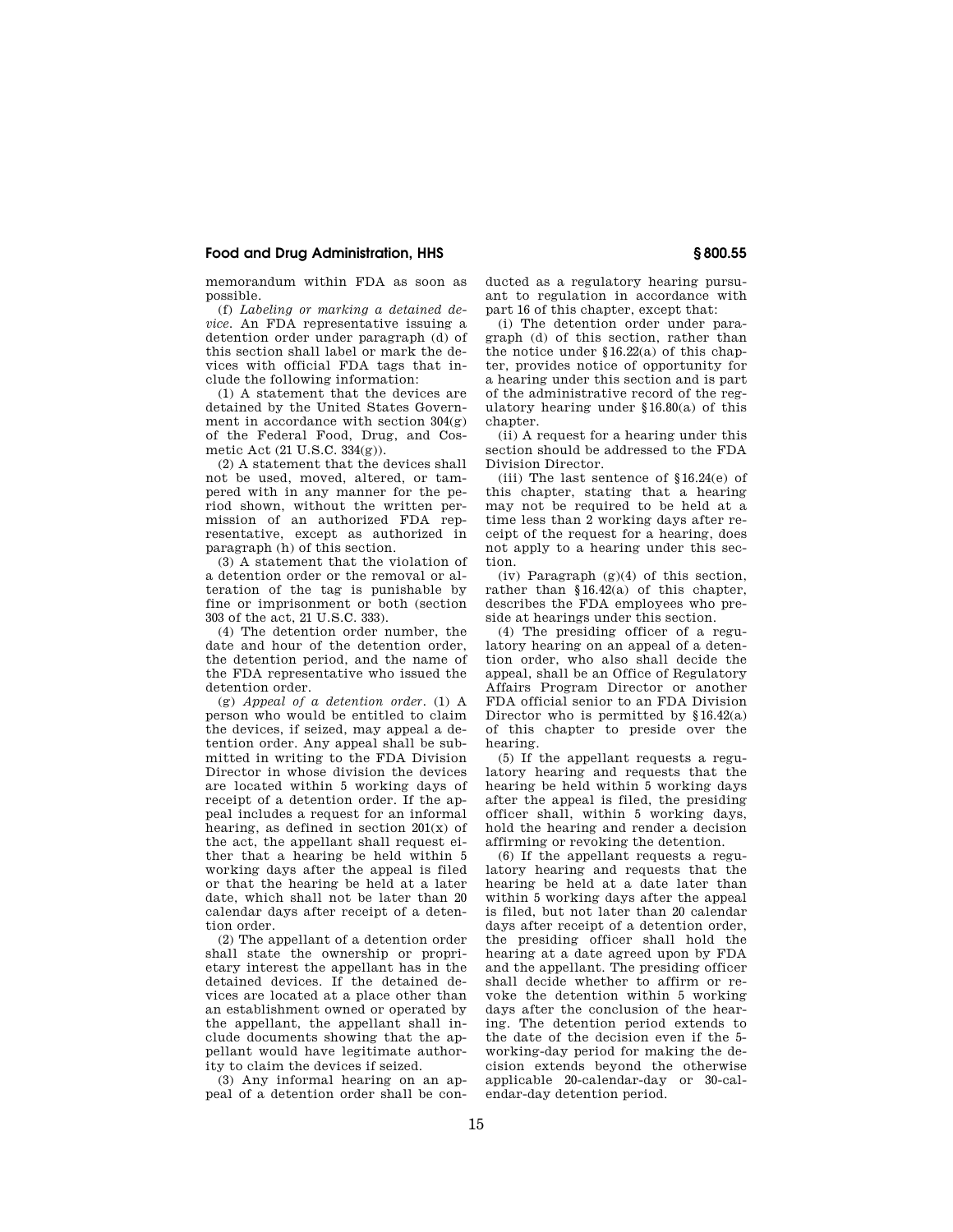memorandum within FDA as soon as possible.

(f) *Labeling or marking a detained device.* An FDA representative issuing a detention order under paragraph (d) of this section shall label or mark the devices with official FDA tags that include the following information:

(1) A statement that the devices are detained by the United States Government in accordance with section  $304(g)$ of the Federal Food, Drug, and Cosmetic Act  $(21 \text{ II S C } 334(\sigma))$ .

(2) A statement that the devices shall not be used, moved, altered, or tampered with in any manner for the period shown, without the written permission of an authorized FDA representative, except as authorized in paragraph (h) of this section.

(3) A statement that the violation of a detention order or the removal or alteration of the tag is punishable by fine or imprisonment or both (section 303 of the act, 21 U.S.C. 333).

(4) The detention order number, the date and hour of the detention order, the detention period, and the name of the FDA representative who issued the detention order.

(g) *Appeal of a detention order.* (1) A person who would be entitled to claim the devices, if seized, may appeal a detention order. Any appeal shall be submitted in writing to the FDA Division Director in whose division the devices are located within 5 working days of receipt of a detention order. If the appeal includes a request for an informal hearing, as defined in section 201(x) of the act, the appellant shall request either that a hearing be held within 5 working days after the appeal is filed or that the hearing be held at a later date, which shall not be later than 20 calendar days after receipt of a detention order.

(2) The appellant of a detention order shall state the ownership or proprietary interest the appellant has in the detained devices. If the detained devices are located at a place other than an establishment owned or operated by the appellant, the appellant shall include documents showing that the appellant would have legitimate authority to claim the devices if seized.

(3) Any informal hearing on an appeal of a detention order shall be conducted as a regulatory hearing pursuant to regulation in accordance with part 16 of this chapter, except that:

(i) The detention order under paragraph (d) of this section, rather than the notice under  $$16.22(a)$  of this chapter, provides notice of opportunity for a hearing under this section and is part of the administrative record of the regulatory hearing under §16.80(a) of this chapter.

(ii) A request for a hearing under this section should be addressed to the FDA Division Director.

(iii) The last sentence of §16.24(e) of this chapter, stating that a hearing may not be required to be held at a time less than 2 working days after receipt of the request for a hearing, does not apply to a hearing under this section.

(iv) Paragraph  $(g)(4)$  of this section, rather than §16.42(a) of this chapter, describes the FDA employees who preside at hearings under this section.

(4) The presiding officer of a regulatory hearing on an appeal of a detention order, who also shall decide the appeal, shall be an Office of Regulatory Affairs Program Director or another FDA official senior to an FDA Division Director who is permitted by §16.42(a) of this chapter to preside over the hearing.

(5) If the appellant requests a regulatory hearing and requests that the hearing be held within 5 working days after the appeal is filed, the presiding officer shall, within 5 working days, hold the hearing and render a decision affirming or revoking the detention.

(6) If the appellant requests a regulatory hearing and requests that the hearing be held at a date later than within 5 working days after the appeal is filed, but not later than 20 calendar days after receipt of a detention order, the presiding officer shall hold the hearing at a date agreed upon by FDA and the appellant. The presiding officer shall decide whether to affirm or revoke the detention within 5 working days after the conclusion of the hearing. The detention period extends to the date of the decision even if the 5 working-day period for making the decision extends beyond the otherwise applicable 20-calendar-day or 30-calendar-day detention period.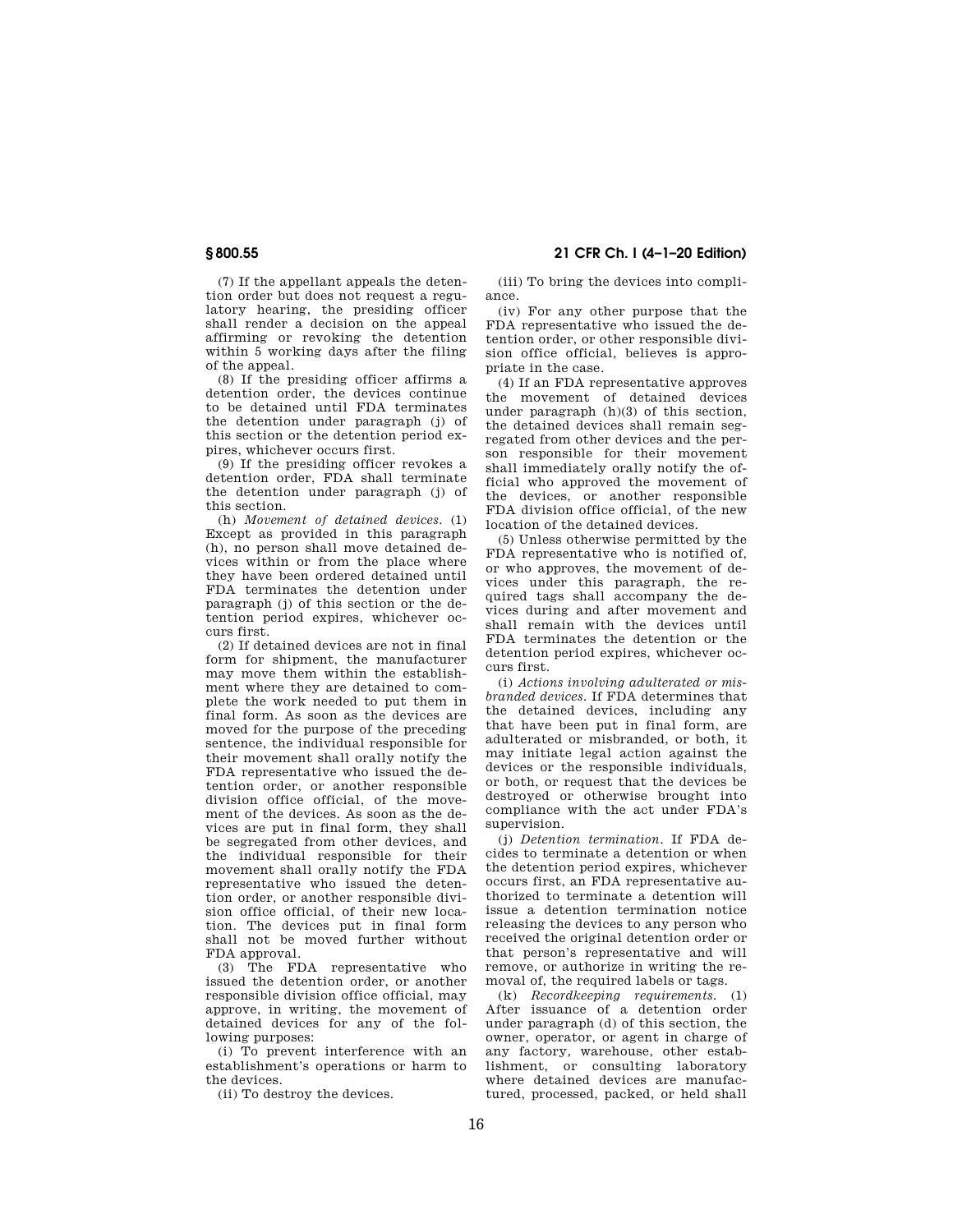(7) If the appellant appeals the detention order but does not request a regulatory hearing, the presiding officer shall render a decision on the appeal affirming or revoking the detention within 5 working days after the filing of the appeal.

(8) If the presiding officer affirms a detention order, the devices continue to be detained until FDA terminates the detention under paragraph (j) of this section or the detention period expires, whichever occurs first.

(9) If the presiding officer revokes a detention order, FDA shall terminate the detention under paragraph (j) of this section.

(h) *Movement of detained devices.* (1) Except as provided in this paragraph (h), no person shall move detained devices within or from the place where they have been ordered detained until FDA terminates the detention under paragraph (j) of this section or the detention period expires, whichever occurs first.

(2) If detained devices are not in final form for shipment, the manufacturer may move them within the establishment where they are detained to complete the work needed to put them in final form. As soon as the devices are moved for the purpose of the preceding sentence, the individual responsible for their movement shall orally notify the FDA representative who issued the detention order, or another responsible division office official, of the movement of the devices. As soon as the devices are put in final form, they shall be segregated from other devices, and the individual responsible for their movement shall orally notify the FDA representative who issued the detention order, or another responsible division office official, of their new location. The devices put in final form shall not be moved further without FDA approval.

(3) The FDA representative who issued the detention order, or another responsible division office official, may approve, in writing, the movement of detained devices for any of the following purposes:

(i) To prevent interference with an establishment's operations or harm to the devices.

(ii) To destroy the devices.

**§ 800.55 21 CFR Ch. I (4–1–20 Edition)** 

(iii) To bring the devices into compliance.

(iv) For any other purpose that the FDA representative who issued the detention order, or other responsible division office official, believes is appropriate in the case.

(4) If an FDA representative approves the movement of detained devices under paragraph (h)(3) of this section, the detained devices shall remain segregated from other devices and the person responsible for their movement shall immediately orally notify the official who approved the movement of the devices, or another responsible FDA division office official, of the new location of the detained devices.

(5) Unless otherwise permitted by the FDA representative who is notified of, or who approves, the movement of devices under this paragraph, the required tags shall accompany the devices during and after movement and shall remain with the devices until FDA terminates the detention or the detention period expires, whichever occurs first.

(i) *Actions involving adulterated or misbranded devices.* If FDA determines that the detained devices, including any that have been put in final form, are adulterated or misbranded, or both, it may initiate legal action against the devices or the responsible individuals, or both, or request that the devices be destroyed or otherwise brought into compliance with the act under FDA's supervision.

(j) *Detention termination.* If FDA decides to terminate a detention or when the detention period expires, whichever occurs first, an FDA representative authorized to terminate a detention will issue a detention termination notice releasing the devices to any person who received the original detention order or that person's representative and will remove, or authorize in writing the removal of, the required labels or tags.

(k) *Recordkeeping requirements.* (1) After issuance of a detention order under paragraph (d) of this section, the owner, operator, or agent in charge of any factory, warehouse, other establishment, or consulting laboratory where detained devices are manufactured, processed, packed, or held shall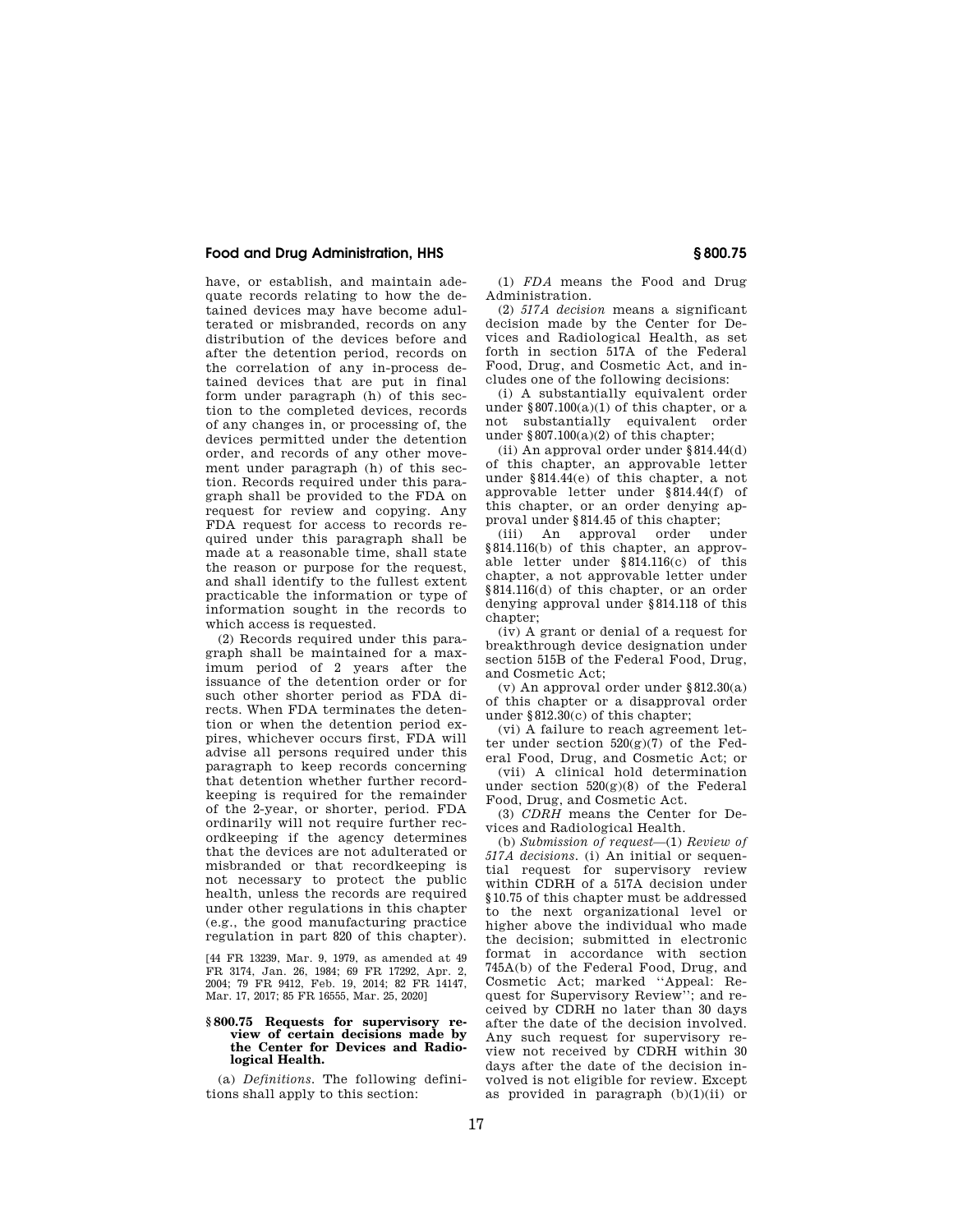have, or establish, and maintain adequate records relating to how the detained devices may have become adulterated or misbranded, records on any distribution of the devices before and after the detention period, records on the correlation of any in-process detained devices that are put in final form under paragraph (h) of this section to the completed devices, records of any changes in, or processing of, the devices permitted under the detention order, and records of any other movement under paragraph (h) of this section. Records required under this paragraph shall be provided to the FDA on request for review and copying. Any FDA request for access to records required under this paragraph shall be made at a reasonable time, shall state the reason or purpose for the request, and shall identify to the fullest extent practicable the information or type of information sought in the records to which access is requested.

(2) Records required under this paragraph shall be maintained for a maximum period of 2 years after the issuance of the detention order or for such other shorter period as FDA directs. When FDA terminates the detention or when the detention period expires, whichever occurs first, FDA will advise all persons required under this paragraph to keep records concerning that detention whether further recordkeeping is required for the remainder of the 2-year, or shorter, period. FDA ordinarily will not require further recordkeeping if the agency determines that the devices are not adulterated or misbranded or that recordkeeping is not necessary to protect the public health, unless the records are required under other regulations in this chapter (e.g., the good manufacturing practice regulation in part 820 of this chapter).

[44 FR 13239, Mar. 9, 1979, as amended at 49 FR 3174, Jan. 26, 1984; 69 FR 17292, Apr. 2, 2004; 79 FR 9412, Feb. 19, 2014; 82 FR 14147, Mar. 17, 2017; 85 FR 16555, Mar. 25, 2020]

#### **§ 800.75 Requests for supervisory review of certain decisions made by the Center for Devices and Radiological Health.**

(a) *Definitions.* The following definitions shall apply to this section:

(1) *FDA* means the Food and Drug Administration.

(2) *517A decision* means a significant decision made by the Center for Devices and Radiological Health, as set forth in section 517A of the Federal Food, Drug, and Cosmetic Act, and includes one of the following decisions:

(i) A substantially equivalent order under §807.100(a)(1) of this chapter, or a not substantially equivalent order under  $§ 807.100(a)(2)$  of this chapter;

(ii) An approval order under §814.44(d) of this chapter, an approvable letter under §814.44(e) of this chapter, a not approvable letter under §814.44(f) of this chapter, or an order denying approval under §814.45 of this chapter;

(iii) An approval order under §814.116(b) of this chapter, an approvable letter under §814.116(c) of this chapter, a not approvable letter under §814.116(d) of this chapter, or an order denying approval under §814.118 of this chapter:

(iv) A grant or denial of a request for breakthrough device designation under section 515B of the Federal Food, Drug, and Cosmetic Act;

(v) An approval order under §812.30(a) of this chapter or a disapproval order under §812.30(c) of this chapter;

(vi) A failure to reach agreement letter under section  $520(g)(7)$  of the Federal Food, Drug, and Cosmetic Act; or

(vii) A clinical hold determination under section 520(g)(8) of the Federal Food, Drug, and Cosmetic Act.

(3) *CDRH* means the Center for Devices and Radiological Health.

(b) *Submission of request*—(1) *Review of 517A decisions*. (i) An initial or sequential request for supervisory review within CDRH of a 517A decision under §10.75 of this chapter must be addressed to the next organizational level or higher above the individual who made the decision; submitted in electronic format in accordance with section 745A(b) of the Federal Food, Drug, and Cosmetic Act; marked ''Appeal: Request for Supervisory Review''; and received by CDRH no later than 30 days after the date of the decision involved. Any such request for supervisory review not received by CDRH within 30 days after the date of the decision involved is not eligible for review. Except as provided in paragraph  $(b)(1)(ii)$  or